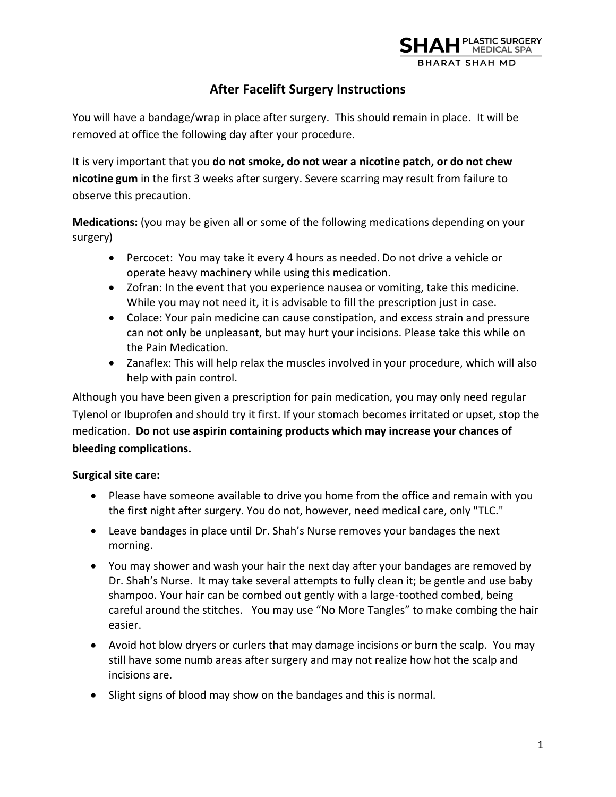

# **After Facelift Surgery Instructions**

You will have a bandage/wrap in place after surgery. This should remain in place. It will be removed at office the following day after your procedure.

It is very important that you **do not smoke, do not wear a nicotine patch, or do not chew nicotine gum** in the first 3 weeks after surgery. Severe scarring may result from failure to observe this precaution.

**Medications:** (you may be given all or some of the following medications depending on your surgery)

- Percocet: You may take it every 4 hours as needed. Do not drive a vehicle or operate heavy machinery while using this medication.
- Zofran: In the event that you experience nausea or vomiting, take this medicine. While you may not need it, it is advisable to fill the prescription just in case.
- Colace: Your pain medicine can cause constipation, and excess strain and pressure can not only be unpleasant, but may hurt your incisions. Please take this while on the Pain Medication.
- Zanaflex: This will help relax the muscles involved in your procedure, which will also help with pain control.

Although you have been given a prescription for pain medication, you may only need regular Tylenol or Ibuprofen and should try it first. If your stomach becomes irritated or upset, stop the medication. **Do not use aspirin containing products which may increase your chances of bleeding complications.** 

## **Surgical site care:**

- Please have someone available to drive you home from the office and remain with you the first night after surgery. You do not, however, need medical care, only "TLC."
- Leave bandages in place until Dr. Shah's Nurse removes your bandages the next morning.
- You may shower and wash your hair the next day after your bandages are removed by Dr. Shah's Nurse. It may take several attempts to fully clean it; be gentle and use baby shampoo. Your hair can be combed out gently with a large-toothed combed, being careful around the stitches. You may use "No More Tangles" to make combing the hair easier.
- Avoid hot blow dryers or curlers that may damage incisions or burn the scalp. You may still have some numb areas after surgery and may not realize how hot the scalp and incisions are.
- Slight signs of blood may show on the bandages and this is normal.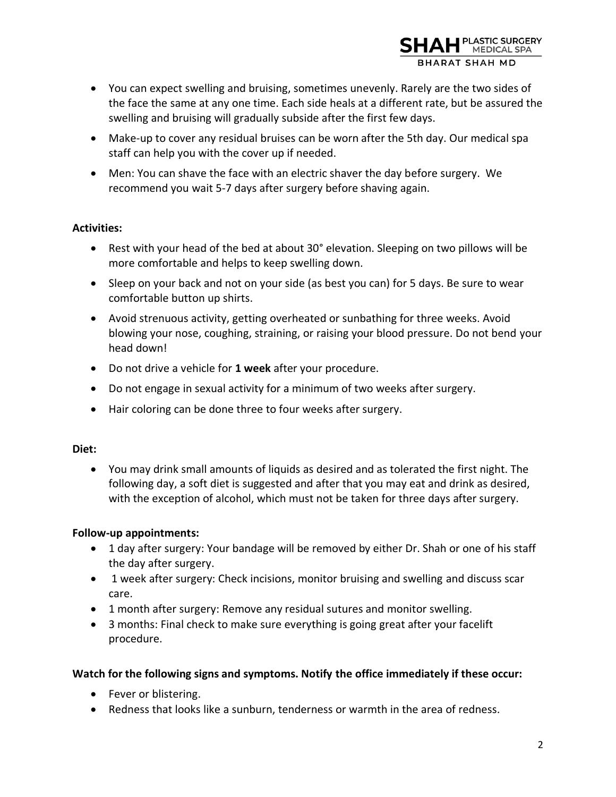

- You can expect swelling and bruising, sometimes unevenly. Rarely are the two sides of the face the same at any one time. Each side heals at a different rate, but be assured the swelling and bruising will gradually subside after the first few days.
- Make-up to cover any residual bruises can be worn after the 5th day. Our medical spa staff can help you with the cover up if needed.
- Men: You can shave the face with an electric shaver the day before surgery. We recommend you wait 5-7 days after surgery before shaving again.

## **Activities:**

- Rest with your head of the bed at about 30° elevation. Sleeping on two pillows will be more comfortable and helps to keep swelling down.
- Sleep on your back and not on your side (as best you can) for 5 days. Be sure to wear comfortable button up shirts.
- Avoid strenuous activity, getting overheated or sunbathing for three weeks. Avoid blowing your nose, coughing, straining, or raising your blood pressure. Do not bend your head down!
- Do not drive a vehicle for **1 week** after your procedure.
- Do not engage in sexual activity for a minimum of two weeks after surgery.
- Hair coloring can be done three to four weeks after surgery.

### **Diet:**

• You may drink small amounts of liquids as desired and as tolerated the first night. The following day, a soft diet is suggested and after that you may eat and drink as desired, with the exception of alcohol, which must not be taken for three days after surgery.

## **Follow-up appointments:**

- 1 day after surgery: Your bandage will be removed by either Dr. Shah or one of his staff the day after surgery.
- 1 week after surgery: Check incisions, monitor bruising and swelling and discuss scar care.
- 1 month after surgery: Remove any residual sutures and monitor swelling.
- 3 months: Final check to make sure everything is going great after your facelift procedure.

## **Watch for the following signs and symptoms. Notify the office immediately if these occur:**

- Fever or blistering.
- Redness that looks like a sunburn, tenderness or warmth in the area of redness.